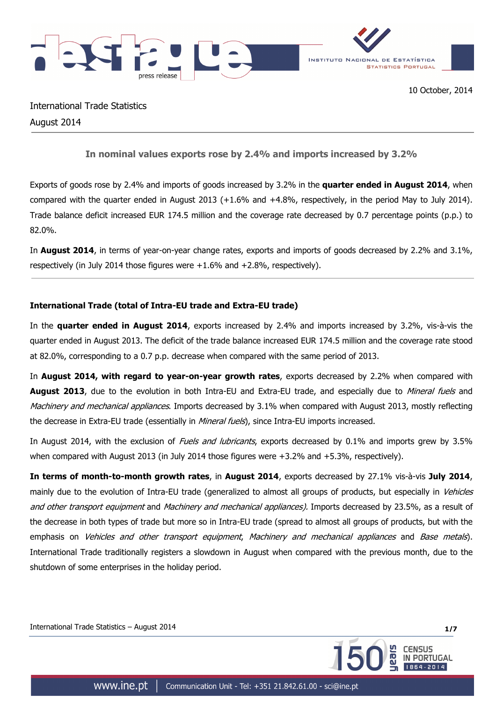

International Trade Statistics August 2014

# **In nominal values exports rose by 2.4% and imports increased by 3.2%**

Exports of goods rose by 2.4% and imports of goods increased by 3.2% in the **quarter ended in August 2014**, when compared with the quarter ended in August 2013 (+1.6% and +4.8%, respectively, in the period May to July 2014). Trade balance deficit increased EUR 174.5 million and the coverage rate decreased by 0.7 percentage points (p.p.) to 82.0%.

In **August 2014**, in terms of year-on-year change rates, exports and imports of goods decreased by 2.2% and 3.1%, respectively (in July 2014 those figures were +1.6% and +2.8%, respectively).

## **International Trade (total of Intra-EU trade and Extra-EU trade)**

In the **quarter ended in August 2014**, exports increased by 2.4% and imports increased by 3.2%, vis-à-vis the quarter ended in August 2013. The deficit of the trade balance increased EUR 174.5 million and the coverage rate stood at 82.0%, corresponding to a 0.7 p.p. decrease when compared with the same period of 2013.

In **August 2014, with regard to year-on-year growth rates**, exports decreased by 2.2% when compared with **August 2013**, due to the evolution in both Intra-EU and Extra-EU trade, and especially due to *Mineral fuels* and Machinery and mechanical appliances. Imports decreased by 3.1% when compared with August 2013, mostly reflecting the decrease in Extra-EU trade (essentially in *Mineral fuels*), since Intra-EU imports increased.

In August 2014, with the exclusion of Fuels and lubricants, exports decreased by 0.1% and imports grew by 3.5% when compared with August 2013 (in July 2014 those figures were +3.2% and +5.3%, respectively).

**In terms of month-to-month growth rates**, in **August 2014**, exports decreased by 27.1% vis-à-vis **July 2014**, mainly due to the evolution of Intra-EU trade (generalized to almost all groups of products, but especially in Vehicles and other transport equipment and Machinery and mechanical appliances). Imports decreased by 23.5%, as a result of the decrease in both types of trade but more so in Intra-EU trade (spread to almost all groups of products, but with the emphasis on Vehicles and other transport equipment, Machinery and mechanical appliances and Base metals). International Trade traditionally registers a slowdown in August when compared with the previous month, due to the shutdown of some enterprises in the holiday period.

International Trade Statistics – August 2014 **1/7**

**CENSUS** 

**PORTUGAL**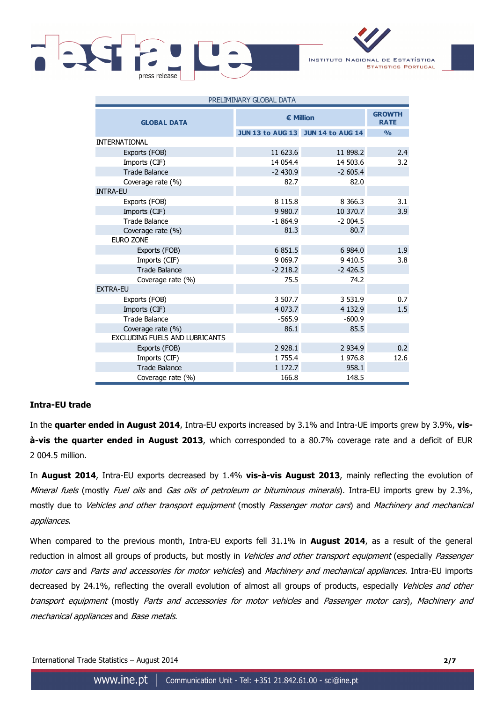

INSTITUTO NACIONAL DE ESTATÍSTICA **STATISTICS PORTUGAL** 

| PRELIMINARY GLOBAL DATA        |                  |                                   |               |  |  |
|--------------------------------|------------------|-----------------------------------|---------------|--|--|
| <b>GLOBAL DATA</b>             | <b>€ Million</b> | <b>GROWTH</b><br><b>RATE</b>      |               |  |  |
|                                |                  | JUN 13 to AUG 13 JUN 14 to AUG 14 | $\frac{0}{0}$ |  |  |
| <b>INTERNATIONAL</b>           |                  |                                   |               |  |  |
| Exports (FOB)                  | 11 623.6         | 11 898.2                          | 2.4           |  |  |
| Imports (CIF)                  | 14 054.4         | 14 503.6                          | 3.2           |  |  |
| <b>Trade Balance</b>           | $-2430.9$        | $-2605.4$                         |               |  |  |
| Coverage rate (%)              | 82.7             | 82.0                              |               |  |  |
| <b>INTRA-EU</b>                |                  |                                   |               |  |  |
| Exports (FOB)                  | 8 1 1 5 . 8      | 8 3 6 6 . 3                       | 3.1           |  |  |
| Imports (CIF)                  | 9 9 8 0.7        | 10 370.7                          | 3.9           |  |  |
| <b>Trade Balance</b>           | $-1864.9$        | $-2004.5$                         |               |  |  |
| Coverage rate (%)<br>EURO ZONE | 81.3             | 80.7                              |               |  |  |
| Exports (FOB)                  | 6 851.5          | 6 984.0                           | 1.9           |  |  |
| Imports (CIF)                  | 9 0 69.7         | 9 410.5                           | 3.8           |  |  |
| <b>Trade Balance</b>           | $-2218.2$        | $-2$ 426.5                        |               |  |  |
| Coverage rate (%)              | 75.5             | 74.2                              |               |  |  |
| <b>EXTRA-EU</b>                |                  |                                   |               |  |  |
| Exports (FOB)                  | 3 507.7          | 3 5 3 1 . 9                       | 0.7           |  |  |
| Imports (CIF)                  | 4 0 7 3 .7       | 4 1 3 2 . 9                       | 1.5           |  |  |
| <b>Trade Balance</b>           | $-565.9$         | $-600.9$                          |               |  |  |
| Coverage rate (%)              | 86.1             | 85.5                              |               |  |  |
| EXCLUDING FUELS AND LUBRICANTS |                  |                                   |               |  |  |
| Exports (FOB)                  | 2 9 28.1         | 2 9 3 4.9                         | 0.2           |  |  |
| Imports (CIF)                  | 1 755.4          | 1 976.8                           | 12.6          |  |  |
| <b>Trade Balance</b>           | 1 172.7          | 958.1                             |               |  |  |
| Coverage rate (%)              | 166.8            | 148.5                             |               |  |  |

### **Intra-EU trade**

In the **quarter ended in August 2014**, Intra-EU exports increased by 3.1% and Intra-UE imports grew by 3.9%, **visà-vis the quarter ended in August 2013**, which corresponded to a 80.7% coverage rate and a deficit of EUR 2 004.5 million.

In **August 2014**, Intra-EU exports decreased by 1.4% **vis-à-vis August 2013**, mainly reflecting the evolution of Mineral fuels (mostly Fuel oils and Gas oils of petroleum or bituminous minerals). Intra-EU imports grew by 2.3%, mostly due to Vehicles and other transport equipment (mostly Passenger motor cars) and Machinery and mechanical appliances.

When compared to the previous month, Intra-EU exports fell 31.1% in **August 2014**, as a result of the general reduction in almost all groups of products, but mostly in Vehicles and other transport equipment (especially Passenger motor cars and Parts and accessories for motor vehicles) and Machinery and mechanical appliances. Intra-EU imports decreased by 24.1%, reflecting the overall evolution of almost all groups of products, especially Vehicles and other transport equipment (mostly Parts and accessories for motor vehicles and Passenger motor cars), Machinery and mechanical appliances and Base metals.

International Trade Statistics – August 2014 **2/7**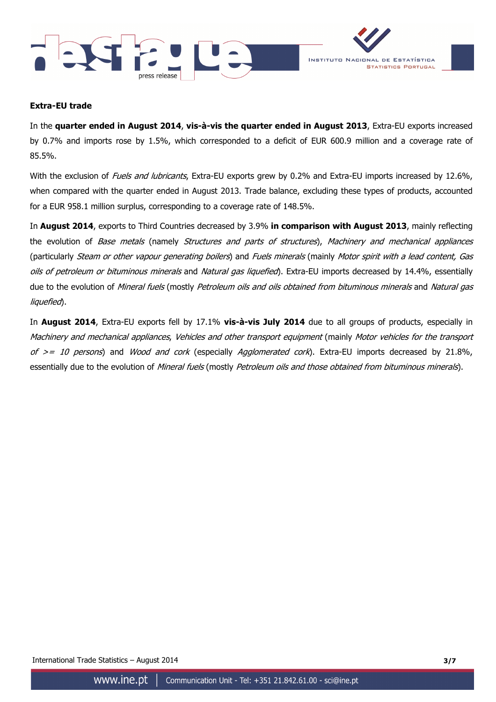



### **Extra-EU trade**

In the **quarter ended in August 2014**, **vis-à-vis the quarter ended in August 2013**, Extra-EU exports increased by 0.7% and imports rose by 1.5%, which corresponded to a deficit of EUR 600.9 million and a coverage rate of 85.5%.

With the exclusion of Fuels and lubricants, Extra-EU exports grew by 0.2% and Extra-EU imports increased by 12.6%, when compared with the quarter ended in August 2013. Trade balance, excluding these types of products, accounted for a EUR 958.1 million surplus, corresponding to a coverage rate of 148.5%.

In **August 2014**, exports to Third Countries decreased by 3.9% **in comparison with August 2013**, mainly reflecting the evolution of Base metals (namely Structures and parts of structures), Machinery and mechanical appliances (particularly Steam or other vapour generating boilers) and Fuels minerals (mainly Motor spirit with a lead content, Gas oils of petroleum or bituminous minerals and Natural gas liquefied). Extra-EU imports decreased by 14.4%, essentially due to the evolution of Mineral fuels (mostly Petroleum oils and oils obtained from bituminous minerals and Natural gas liquefied).

In **August 2014**, Extra-EU exports fell by 17.1% **vis-à-vis July 2014** due to all groups of products, especially in Machinery and mechanical appliances, Vehicles and other transport equipment (mainly Motor vehicles for the transport of  $>= 10$  persons) and Wood and cork (especially Agglomerated cork). Extra-EU imports decreased by 21.8%, essentially due to the evolution of *Mineral fuels* (mostly *Petroleum oils and those obtained from bituminous minerals*).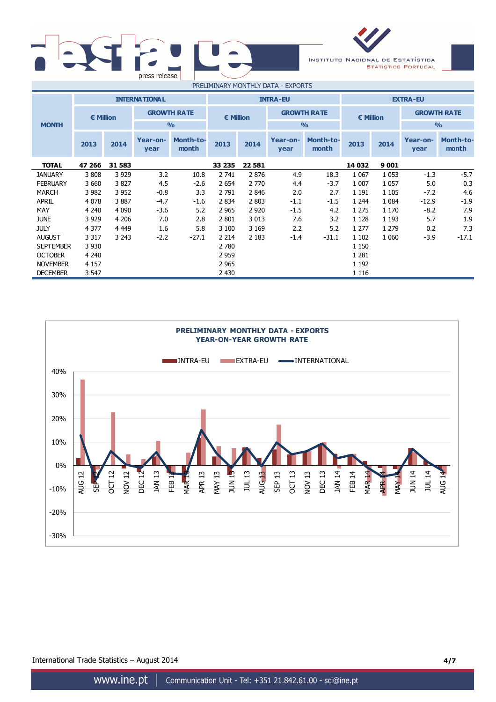



**2013 2014 Year-onyear Month-tomonth 2013 2014 Year-on-**<br> **PEREFECTE: year Month-tomonth 2013 2014 Year-onyear Month-tomonth TOTAL 47 266 31 583 33 235 22 581 14 032 9 001** JANUARY 3 808 3 929 3.2 10.8 2 741 2 876 4.9 18.3 1 067 1 053 -1.3 -5.7 FEBRUARY 3 660 3 827 4.5 -2.6 2 654 2 770 4.4 -3.7 1 007 1 057 5.0 0.3 MARCH 3 982 3 952 -0.8 3.3 2 791 2 846 2.0 2.7 1 191 1 105 -7.2 4.6 APRIL 4 078 3 887 -4.7 -1.6 2 834 2 803 -1.1 -1.5 1 244 1 084 -12.9 -1.9 MAY 4 240 4 090 -3.6 5.2 2 965 2 920 -1.5 4.2 1 275 1 170 -8.2 7.9 JUNE 3 929 4 206 7.0 2.8 2 801 3 013 7.6 3.2 1 128 1 193 5.7 1.9 JULY 4 377 4 449 1.6 5.8 3 100 3 169 2.2 5.2 1 277 1 279 0.2 7.3 AUGUST 3 317 3 243 -2.2 -27.1 2 214 2 183 -1.4 -31.1 1 102 1 060 -3.9 -17.1 SEPTEMBER 3 930 1 150 OCTOBER 4 240 2 959 1 281 NOVEMBER 4 157 2965 2965 1 192 DECEMBER 3 547 2 430 1 116 **INTERNATIONAL INTRA-EU EXTRA-EU € Million GROWTH RATE MONTH % % % € Million GROWTH RATE € Million GROWTH RATE**



International Trade Statistics – August 2014 **4/7**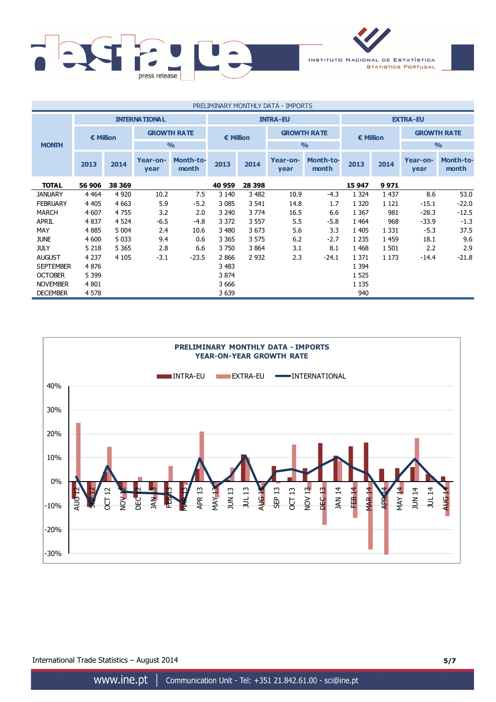

| PRELIMINARY MONTHLY DATA - IMPORTS |           |         |                      |                           |                 |         |                  |                           |                  |         |                  |                           |
|------------------------------------|-----------|---------|----------------------|---------------------------|-----------------|---------|------------------|---------------------------|------------------|---------|------------------|---------------------------|
|                                    |           |         | <b>INTERNATIONAL</b> |                           | <b>INTRA-EU</b> |         |                  | <b>EXTRA-EU</b>           |                  |         |                  |                           |
|                                    | € Million |         |                      | <b>GROWTH RATE</b>        | € Million       |         |                  | <b>GROWTH RATE</b>        | <b>€ Million</b> |         |                  | <b>GROWTH RATE</b>        |
| <b>MONTH</b>                       |           |         |                      | $\frac{0}{0}$             |                 |         |                  | $\frac{0}{0}$             |                  |         | $\frac{0}{0}$    |                           |
|                                    | 2013      | 2014    | Year-on-<br>year     | <b>Month-to-</b><br>month | 2013            | 2014    | Year-on-<br>year | <b>Month-to-</b><br>month | 2013             | 2014    | Year-on-<br>year | <b>Month-to-</b><br>month |
| <b>TOTAL</b>                       | 56 906    | 38 369  |                      |                           | 40 959          | 28 398  |                  |                           | 15 947           | 9971    |                  |                           |
| <b>JANUARY</b>                     | 4 4 6 4   | 4 9 2 0 | 10.2                 | 7.5                       | 3 1 4 0         | 3 4 8 2 | 10.9             | -4.3                      | 1 3 2 4          | 1 4 3 7 | 8.6              | 53.0                      |
| <b>FEBRUARY</b>                    | 4 4 0 5   | 4 6 63  | 5.9                  | $-5.2$                    | 3 0 8 5         | 3 5 4 1 | 14.8             | 1.7                       | 1 3 2 0          | 1 1 2 1 | $-15.1$          | $-22.0$                   |
| <b>MARCH</b>                       | 4 607     | 4755    | 3.2                  | 2.0                       | 3 2 4 0         | 3 7 7 4 | 16.5             | 6.6                       | 1 3 6 7          | 981     | $-28.3$          | $-12.5$                   |
| <b>APRIL</b>                       | 4837      | 4 5 2 4 | $-6.5$               | $-4.8$                    | 3 3 7 2         | 3 5 5 7 | 5.5              | $-5.8$                    | 1 4 6 4          | 968     | $-33.9$          | $-1.3$                    |
| MAY                                | 4885      | 5 0 0 4 | 2.4                  | 10.6                      | 3 4 8 0         | 3673    | 5.6              | 3.3                       | 1 4 0 5          | 1 3 3 1 | $-5.3$           | 37.5                      |
| <b>JUNE</b>                        | 4 600     | 5 0 3 3 | 9.4                  | 0.6                       | 3 3 6 5         | 3 5 7 5 | 6.2              | $-2.7$                    | 1 2 3 5          | 1 4 5 9 | 18.1             | 9.6                       |
| <b>JULY</b>                        | 5 2 1 8   | 5 3 6 5 | 2.8                  | 6.6                       | 3750            | 3 8 6 4 | 3.1              | 8.1                       | 1 4 6 8          | 1 501   | 2.2              | 2.9                       |
| <b>AUGUST</b>                      | 4 2 3 7   | 4 1 0 5 | $-3.1$               | $-23.5$                   | 2866            | 2 9 3 2 | 2.3              | $-24.1$                   | 1 3 7 1          | 1 1 7 3 | $-14.4$          | $-21.8$                   |
| <b>SEPTEMBER</b>                   | 4876      |         |                      |                           | 3 4 8 3         |         |                  |                           | 1 3 9 4          |         |                  |                           |
| <b>OCTOBER</b>                     | 5 3 9 9   |         |                      |                           | 3 8 7 4         |         |                  |                           | 1 5 2 5          |         |                  |                           |
| <b>NOVEMBER</b>                    | 4 8 0 1   |         |                      |                           | 3 6 6 6         |         |                  |                           | 1 1 3 5          |         |                  |                           |
| <b>DECEMBER</b>                    | 4578      |         |                      |                           | 3 6 3 9         |         |                  |                           | 940              |         |                  |                           |



International Trade Statistics – August 2014 **5/7**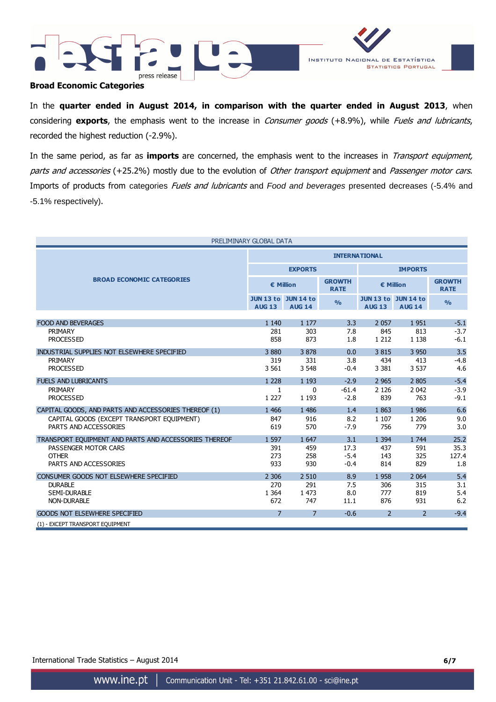



### **Broad Economic Categories**

In the **quarter ended in August 2014, in comparison with the quarter ended in August 2013**, when considering **exports**, the emphasis went to the increase in Consumer goods (+8.9%), while Fuels and lubricants, recorded the highest reduction (-2.9%).

In the same period, as far as **imports** are concerned, the emphasis went to the increases in Transport equipment, parts and accessories (+25.2%) mostly due to the evolution of Other transport equipment and Passenger motor cars. Imports of products from categories Fuels and lubricants and Food and beverages presented decreases (-5.4% and -5.1% respectively).

| PRELIMINARY GLOBAL DATA                               |                      |                                             |                              |                |                                             |                              |
|-------------------------------------------------------|----------------------|---------------------------------------------|------------------------------|----------------|---------------------------------------------|------------------------------|
|                                                       | <b>INTERNATIONAL</b> |                                             |                              |                |                                             |                              |
|                                                       |                      | <b>EXPORTS</b>                              |                              | <b>IMPORTS</b> |                                             |                              |
| <b>BROAD ECONOMIC CATEGORIES</b>                      | € Million            |                                             | <b>GROWTH</b><br><b>RATE</b> |                | € Million                                   | <b>GROWTH</b><br><b>RATE</b> |
|                                                       | <b>AUG 13</b>        | <b>JUN 13 to JUN 14 to</b><br><b>AUG 14</b> | $\frac{9}{6}$                | <b>AUG 13</b>  | <b>JUN 13 to JUN 14 to</b><br><b>AUG 14</b> | $\frac{0}{0}$                |
|                                                       |                      |                                             |                              |                |                                             |                              |
| <b>FOOD AND BEVERAGES</b><br>PRIMARY                  | 1 1 4 0<br>281       | 1 1 7 7                                     | 3.3                          | 2 0 5 7        | 1951                                        | $-5.1$                       |
| <b>PROCESSED</b>                                      | 858                  | 303<br>873                                  | 7.8<br>1.8                   | 845<br>1 2 1 2 | 813<br>1 1 3 8                              | $-3.7$<br>$-6.1$             |
|                                                       |                      |                                             |                              |                |                                             |                              |
| INDUSTRIAL SUPPLIES NOT ELSEWHERE SPECIFIED           | 3880                 | 3878                                        | 0.0                          | 3815           | 3 9 5 0                                     | 3.5                          |
| PRIMARY                                               | 319                  | 331                                         | 3.8                          | 434            | 413                                         | $-4.8$                       |
| <b>PROCESSED</b>                                      | 3 5 6 1              | 3 5 4 8                                     | $-0.4$                       | 3 3 8 1        | 3 5 3 7                                     | 4.6                          |
| <b>FUELS AND LUBRICANTS</b>                           | 1 2 2 8              | 1 1 9 3                                     | $-2.9$                       | 2 9 6 5        | 2 8 0 5                                     | $-5.4$                       |
| PRIMARY                                               | $\mathbf{1}$         | $\mathbf{0}$                                | $-61.4$                      | 2 1 2 6        | 2 0 4 2                                     | $-3.9$                       |
| <b>PROCESSED</b>                                      | 1 2 2 7              | 1 1 9 3                                     | $-2.8$                       | 839            | 763                                         | $-9.1$                       |
| CAPITAL GOODS, AND PARTS AND ACCESSORIES THEREOF (1)  | 1 4 6 6              | 1 4 8 6                                     | 1.4                          | 1863           | 1 986                                       | 6.6                          |
| CAPITAL GOODS (EXCEPT TRANSPORT EQUIPMENT)            | 847                  | 916                                         | 8.2                          | 1 1 0 7        | 1 2 0 6                                     | 9.0                          |
| PARTS AND ACCESSORIES                                 | 619                  | 570                                         | $-7.9$                       | 756            | 779                                         | 3.0                          |
| TRANSPORT EOUIPMENT AND PARTS AND ACCESSORIES THEREOF | 1 5 9 7              | 1 647                                       | 3.1                          | 1 3 9 4        | 1 744                                       | 25.2                         |
| PASSENGER MOTOR CARS                                  | 391                  | 459                                         | 17.3                         | 437            | 591                                         | 35.3                         |
| <b>OTHER</b>                                          | 273                  | 258                                         | $-5.4$                       | 143            | 325                                         | 127.4                        |
| PARTS AND ACCESSORIES                                 | 933                  | 930                                         | $-0.4$                       | 814            | 829                                         | 1.8                          |
| CONSUMER GOODS NOT ELSEWHERE SPECIFIED                | 2 3 0 6              | 2 5 1 0                                     | 8.9                          | 1958           | 2 0 6 4                                     | 5.4                          |
| <b>DURABLE</b>                                        | 270                  | 291                                         | 7.5                          | 306            | 315                                         | 3.1                          |
| <b>SEMI-DURABLE</b>                                   | 1 3 6 4              | 1 473                                       | 8.0                          | 777            | 819                                         | 5.4                          |
| <b>NON-DURABLE</b>                                    | 672                  | 747                                         | 11.1                         | 876            | 931                                         | 6.2                          |
| <b>GOODS NOT ELSEWHERE SPECIFIED</b>                  | $\overline{7}$       | $\overline{7}$                              | $-0.6$                       | 2              | $\overline{2}$                              | $-9.4$                       |
| (1) - EXCEPT TRANSPORT EQUIPMENT                      |                      |                                             |                              |                |                                             |                              |